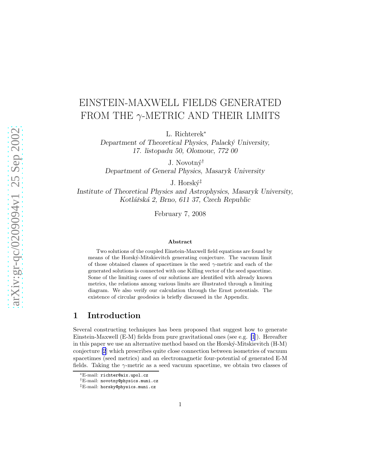# EINSTEIN-MAXWELL FIELDS GENERATED FROM THE  $\gamma$ -METRIC AND THEIR LIMITS

L. Richterek<sup>∗</sup>

Department of Theoretical Physics, Palacký University, 17. listopadu 50, Olomouc, 772 00

J. Novotný<sup>†</sup>

Department of General Physics, Masaryk University

J. Horský<sup> $\ddagger$ </sup>

Institute of Theoretical Physics and Astrophysics, Masaryk University, Kotlářská 2, Brno, 611 37, Czech Republic

February 7, 2008

#### Abstract

Two solutions of the coupled Einstein-Maxwell field equations are found by means of the Horsk´y-Mitskievitch generating conjecture. The vacuum limit of those obtained classes of spacetimes is the seed  $\gamma$ -metric and each of the generated solutions is connected with one Killing vector of the seed spacetime. Some of the limiting cases of our solutions are identified with already known metrics, the relations among various limits are illustrated through a limiting diagram. We also verify our calculation through the Ernst potentials. The existence of circular geodesics is briefly discussed in the Appendix.

# 1 Introduction

Several constructing techniques has been proposed that suggest how to generate Einstein-Maxwell (E-M) fields from pure gravitational ones (see e.g. [\[1](#page-19-0)]). Hereafter in this paper we use an alternative method based on the Horsk´y-Mitskievitch (H-M) conjecture [\[2](#page-19-0)] which prescribes quite close connection between isometries of vacuum spacetimes (seed metrics) and an electromagnetic four-potential of generated E-M fields. Taking the  $\gamma$ -metric as a seed vacuum spacetime, we obtain two classes of

<sup>∗</sup>E-mail: richter@aix.upol.cz

<sup>†</sup>E-mail: novotny@physics.muni.cz

<sup>‡</sup>E-mail: horsky@physics.muni.cz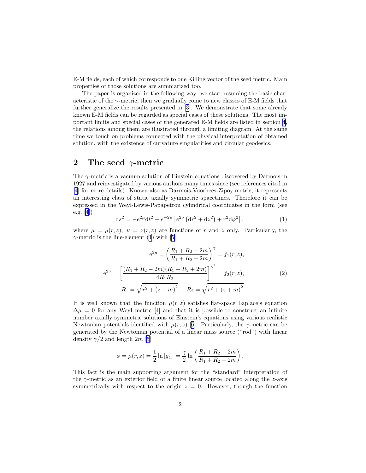<span id="page-1-0"></span>E-M fields, each of which corresponds to one Killing vector of the seed metric. Main properties of those solutions are summarized too.

The paper is organized in the following way: we start resuming the basic characteristic of the  $\gamma$ -metric, then we gradually come to new classes of E-M fields that further generalize the results presented in [\[3](#page-19-0)]. We demonstrate that some already known E-M fields can be regarded as special cases of these solutions. The most important limits and special cases of the generated E-M fields are listed in section [4,](#page-7-0) the relations among them are illustrated through a limiting diagram. At the same time we touch on problems connected with the physical interpretation of obtained solution, with the existence of curvature singularities and circular geodesics.

### 2 The seed  $\gamma$ -metric

The  $\gamma$ -metric is a vacuum solution of Einstein equations discovered by Darmois in 1927 and reinvestigated by various authors many times since (see references cited in [\[4](#page-19-0)] for more details). Known also as Darmois-Voorhees-Zipoy metric, it represents an interesting class of static axially symmetric spacetimes. Therefore it can be expressed in the Weyl-Lewis-Papapetrou cylindrical coordinates in the form (see e.g. [\[4](#page-19-0)])

$$
ds^{2} = -e^{2\mu}dt^{2} + e^{-2\mu} \left[ e^{2\nu} \left( dr^{2} + dz^{2} \right) + r^{2} d\varphi^{2} \right],
$$
 (1)

where  $\mu = \mu(r, z)$ ,  $\nu = \nu(r, z)$  are functions of r and z only. Particularly, the  $\gamma$ -metricis the line-element (1) with [[5\]](#page-19-0)

$$
e^{2\mu} = \left(\frac{R_1 + R_2 - 2m}{R_1 + R_2 + 2m}\right)^{\gamma} = f_1(r, z),
$$
  

$$
e^{2\nu} = \left[\frac{(R_1 + R_2 - 2m)(R_1 + R_2 + 2m)}{4R_1R_2}\right]^{\gamma^2} = f_2(r, z),
$$
  

$$
R_1 = \sqrt{r^2 + (z - m)^2}, \quad R_2 = \sqrt{r^2 + (z + m)^2}.
$$
 (2)

It is well known that the function  $\mu(r, z)$  satisfies flat-space Laplace's equation  $\Delta \mu = 0$  $\Delta \mu = 0$  $\Delta \mu = 0$  for any Weyl metric [[4\]](#page-19-0) and that it is possible to construct an infinite number axially symmetric solutions of Einstein's equations using various realistic Newtonian potentials identified with  $\mu(r, z)$  [\[6](#page-19-0)]. Particularly, the  $\gamma$ -metric can be generated by the Newtonian potential of a linear mass source ("rod") with linear density  $\gamma/2$  and length 2m [\[5](#page-19-0)]

$$
\phi = \mu(r, z) = \frac{1}{2} \ln|g_{tt}| = \frac{\gamma}{2} \ln\left(\frac{R_1 + R_2 - 2m}{R_1 + R_2 + 2m}\right).
$$

This fact is the main supporting argument for the "standard" interpretation of the  $\gamma$ -metric as an exterior field of a finite linear source located along the z-axis symmetrically with respect to the origin  $z = 0$ . However, though the function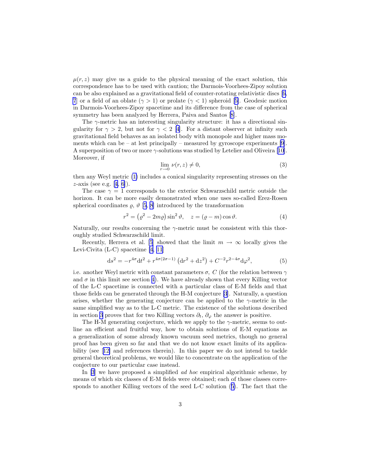<span id="page-2-0"></span> $\mu(r, z)$  may give us a guide to the physical meaning of the exact solution, this correspondence has to be used with caution; the Darmois-Voorhees-Zipoy solution can be also explained as a gravitational field of counter-rotating relativistic discs[[6,](#page-19-0) [7](#page-19-0)or a field of an oblate  $(\gamma > 1)$  or prolate  $(\gamma < 1)$  spheroid [[5\]](#page-19-0). Geodesic motion in Darmois-Voorhees-Zipoy spacetime and its difference from the case of spherical symmetry has been analyzed by Herrera, Paiva and Santos[[8\]](#page-19-0).

The  $\gamma$ -metric has an interesting singularity structure: it has a directional singularity for  $\gamma > 2$ , but not for  $\gamma < 2$  [\[4](#page-19-0)]. For a distant observer at infinity such gravitational field behaves as an isolated body with monopole and higher mass mo-ments which can be – at lest principally – measured by gyroscope experiments [\[9](#page-19-0)]. A superposition of two or more  $\gamma$ -solutions was studied by Letelier and Oliveira [\[10](#page-19-0)]. Moreover, if

$$
\lim_{r \to 0} \nu(r, z) \neq 0,\tag{3}
$$

then any Weyl metric [\(1\)](#page-1-0) includes a conical singularity representing stresses on the  $z$ -axis(see e.g. [[4](#page-19-0), [6](#page-19-0)]).

The case  $\gamma = 1$  corresponds to the exterior Schwarzschild metric outside the horizon. It can be more easily demonstrated when one uses so-called Erez-Rosen spherical coordinates  $\varrho$ ,  $\vartheta$  [\[5](#page-19-0), [8](#page-19-0)] introduced by the transformation

$$
r^{2} = (\varrho^{2} - 2m\varrho)\sin^{2}\vartheta, \quad z = (\varrho - m)\cos\vartheta.
$$
 (4)

Naturally, our results concerning the  $\gamma$ -metric must be consistent with this thoroughly studied Schwarzschild limit.

Recently, Herrera et al. [\[5](#page-19-0)] showed that the limit  $m \to \infty$  locally gives the Levi-Civita (L-C) spacetime [\[4](#page-19-0), [11](#page-19-0)]

$$
ds^{2} = -r^{4\sigma}dt^{2} + r^{4\sigma(2\sigma - 1)}\left(dr^{2} + dz^{2}\right) + C^{-2}r^{2-4\sigma}d\varphi^{2},
$$
\n(5)

i.e. another Weyl metric with constant parameters  $\sigma$ , C (for the relation between  $\gamma$ and  $\sigma$  in this limit see section [4\)](#page-7-0). We have already shown that every Killing vector of the L-C spacetime is connected with a particular class of E-M fields and that those fields can be generated through the H-M conjecture [\[3](#page-19-0)]. Naturally, a question arises, whether the generating conjecture can be applied to the  $\gamma$ -metric in the same simplified way as to the L-C metric. The existence of the solutions described in section [3](#page-3-0) proves that for two Killing vectors  $\partial_t$ ,  $\partial_\varphi$  the answer is positive.

The H-M generating conjecture, which we apply to the  $\gamma$ -metric, seems to outline an efficient and fruitful way, how to obtain solutions of E-M equations as a generalization of some already known vacuum seed metrics, though no general proof has been given so far and that we do not know exact limits of its applicability (see[[12\]](#page-20-0) and references therein). In this paper we do not intend to tackle general theoretical problems, we would like to concentrate on the application of the conjecture to our particular case instead.

In [\[3](#page-19-0)] we have proposed a simplified *ad hoc* empirical algorithmic scheme, by means of which six classes of E-M fields were obtained; each of those classes corresponds to another Killing vectors of the seed L-C solution (5). The fact that the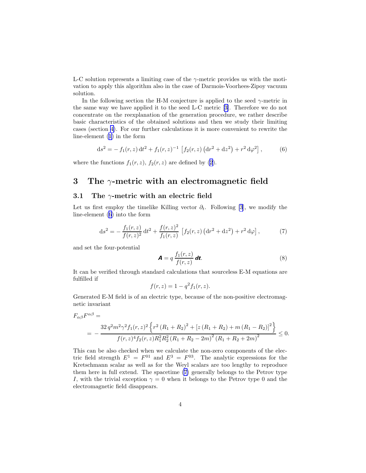<span id="page-3-0"></span>L-C solution represents a limiting case of the  $\gamma$ -metric provides us with the motivation to apply this algorithm also in the case of Darmois-Voorhees-Zipoy vacuum solution.

In the following section the H-M conjecture is applied to the seed  $\gamma$ -metric in the same way we have applied it to the seed L-C metric[[3\]](#page-19-0). Therefore we do not concentrate on the reexplanation of the generation procedure, we rather describe basic characteristics of the obtained solutions and then we study their limiting cases (section [4\)](#page-7-0). For our further calculations it is more convenient to rewrite the line-element ([1\)](#page-1-0) in the form

$$
ds^{2} = - f_{1}(r, z) dt^{2} + f_{1}(r, z)^{-1} \left[ f_{2}(r, z) (dr^{2} + dz^{2}) + r^{2} d\varphi^{2} \right],
$$
 (6)

where the functions  $f_1(r, z)$ ,  $f_2(r, z)$  are defined by [\(2](#page-1-0)).

# 3 The  $\gamma$ -metric with an electromagnetic field

#### 3.1 The  $\gamma$ -metric with an electric field

Let us first employ the timelike Killing vector  $\partial_t$ . Following [\[3](#page-19-0)], we modify the line-element (6) into the form

$$
ds^{2} = -\frac{f_{1}(r,z)}{f(r,z)^{2}} dt^{2} + \frac{f(r,z)^{2}}{f_{1}(r,z)} \left[ f_{2}(r,z) \left( dr^{2} + dz^{2} \right) + r^{2} d\varphi \right],
$$
 (7)

and set the four-potential

$$
\mathbf{A} = q \frac{f_1(r, z)}{f(r, z)} \mathbf{dt}.
$$
 (8)

It can be verified through standard calculations that sourceless E-M equations are fulfilled if

$$
f(r, z) = 1 - q^2 f_1(r, z).
$$

Generated E-M field is of an electric type, because of the non-positive electromagnetic invariant

$$
F_{\alpha\beta}F^{\alpha\beta} =
$$
  
= 
$$
-\frac{32 q^2 m^2 \gamma^2 f_1(r,z)^2 \left\{r^2 (R_1 + R_2)^2 + \left[z (R_1 + R_2) + m (R_1 - R_2)\right]^2\right\}}{f(r,z)^4 f_2(r,z) R_1^2 R_2^2 (R_1 + R_2 - 2m)^2 (R_1 + R_2 + 2m)^2} \le 0.
$$

This can be also checked when we calculate the non-zero components of the electric field strength  $E^1 = F^{01}$  and  $E^3 = F^{03}$ . The analytic expressions for the Kretschmann scalar as well as for the Weyl scalars are too lengthy to reproduce them here in full extend. The spacetime (7) generally belongs to the Petrov type I, with the trivial exception  $\gamma = 0$  when it belongs to the Petrov type 0 and the electromagnetic field disappears.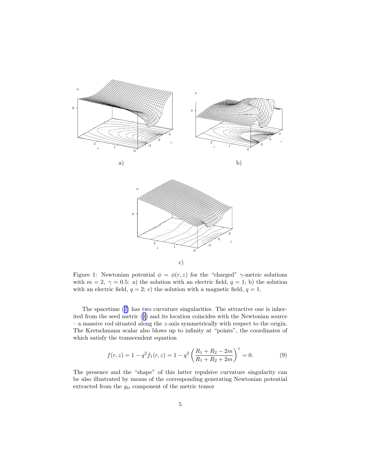<span id="page-4-0"></span>

Figure 1: Newtonian potential  $\phi = \phi(r, z)$  for the "charged"  $\gamma$ -metric solutions with  $m = 2, \gamma = 0.5$ : a) the solution with an electric field,  $q = 1$ ; b) the solution with an electric field,  $q = 2$ ; c) the solution with a magnetic field,  $q = 1$ .

The spacetime ([7\)](#page-3-0) has two curvature singularities. The attractive one is inherited from the seed metric ([1\)](#page-1-0) and its location coincides with the Newtonian source – a massive rod situated along the z-axis symmetrically with respect to the origin. The Kretschmann scalar also blows up to infinity at "points", the coordinates of which satisfy the transcendent equation

$$
f(r,z) = 1 - q^2 f_1(r,z) = 1 - q^2 \left(\frac{R_1 + R_2 - 2m}{R_1 + R_2 + 2m}\right)^{\gamma} = 0.
$$
 (9)

The presence and the "shape" of this latter repulsive curvature singularity can be also illustrated by means of the corresponding generating Newtonian potential extracted from the  $g_{tt}$  component of the metric tensor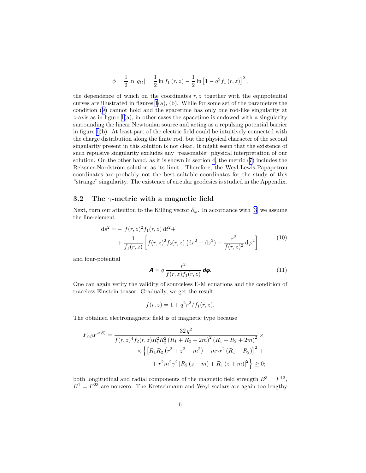$$
\phi = \frac{1}{2} \ln |g_{tt}| = \frac{1}{2} \ln f_1(r, z) - \frac{1}{2} \ln [1 - q^2 f_1(r, z)]^2,
$$

<span id="page-5-0"></span>the dependence of which on the coordinates  $r, z$  together with the equipotential curves are illustrated in figures  $1(a)$ , (b). While for some set of the parameters the condition ([9\)](#page-4-0) cannot hold and the spacetime has only one rod-like singularity at  $z$ -axis as in figure [1\(](#page-4-0)a), in other cases the spacetime is endowed with a singularity surrounding the linear Newtonian source and acting as a repulsing potential barrier in figure [1](#page-4-0)(b). At least part of the electric field could be intuitively connected with the charge distribution along the finite rod, but the physical character of the second singularity present in this solution is not clear. It might seem that the existence of such repulsive singularity excludes any "reasonable" physical interpretation of our solution. On the other hand, as it is shown in section [4](#page-7-0), the metric [\(7](#page-3-0)) includes the Reissner-Nordström solution as its limit. Therefore, the Weyl-Lewis-Papapetrou coordinates are probably not the best suitable coordinates for the study of this "strange" singularity. The existence of circular geodesics is studied in the Appendix.

#### 3.2 The  $\gamma$ -metric with a magnetic field

Next,turn our attention to the Killing vector  $\partial_{\varphi}$ . In accordance with [[3\]](#page-19-0) we assume the line-element

$$
ds^{2} = - f(r,z)^{2} f_{1}(r,z) dt^{2} + + \frac{1}{f_{1}(r,z)} \left[ f(r,z)^{2} f_{2}(r,z) (dr^{2} + dz^{2}) + \frac{r^{2}}{f(r,z)^{2}} d\varphi^{2} \right]
$$
(10)

and four-potential

$$
\mathbf{A} = q \frac{r^2}{f(r, z) f_1(r, z)} d\boldsymbol{\varphi}.
$$
 (11)

One can again verify the validity of sourceless E-M equations and the condition of traceless Einstein tensor. Gradually, we get the result

$$
f(r, z) = 1 + q^2 r^2 / f_1(r, z).
$$

The obtained electromagnetic field is of magnetic type because

$$
F_{\alpha\beta}F^{\alpha\beta} = \frac{32 q^2}{f(r,z)^4 f_2(r,z) R_1^2 R_2^2 (R_1 + R_2 - 2m)^2 (R_1 + R_2 + 2m)^2} \times \left\{ \left[ R_1 R_2 (r^2 + z^2 - m^2) - m\gamma r^2 (R_1 + R_2) \right]^2 + \right. \\ \left. + r^2 m^2 \gamma^2 \left[ R_2 (z - m) + R_1 (z + m) \right]^2 \right\} \ge 0;
$$

both longitudinal and radial components of the magnetic field strength  $B^3 = F^{12}$ ,  $B<sup>1</sup> = F<sup>23</sup>$  are nonzero. The Kretschmann and Weyl scalars are again too lengthy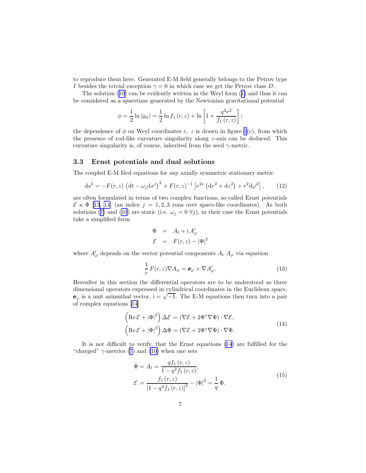<span id="page-6-0"></span>to reproduce them here. Generated E-M field generally belongs to the Petrov type I besides the trivial exception  $\gamma = 0$  in which case we get the Petrov class D.

The solution ([10\)](#page-5-0) can be evidently written in the Weyl form ([1\)](#page-1-0) and thus it can be considered as a spacetime generated by the Newtonian gravitational potential

$$
\phi = \frac{1}{2} \ln |g_{tt}| = \frac{1}{2} \ln f_1(r, z) + \ln \left[ 1 + \frac{q^2 r^2}{f_1(r, z)} \right];
$$

the dependence of  $\phi$  on Weyl coordinates r, z is drawn in figure [1](#page-4-0)(c), from which the presence of rod-like curvature singularity along  $z$ -axis can be deduced. This curvature singularity is, of course, inherited from the seed  $\gamma$ -metric.

#### 3.3 Ernst potentials and dual solutions

The coupled E-M filed equations for any axially symmetric stationary metric

$$
ds^{2} = -F(r, z) \left(dt - \omega_{j} dx^{j}\right)^{2} + F(r, z)^{-1} \left[e^{2\nu} \left(dr^{2} + dz^{2}\right) + r^{2} d\varphi^{2}\right],
$$
 (12)

are often formulated in terms of two complex functions, so called Ernst potentials  $\mathcal{E}$ a  $\Phi$  [[13, 14](#page-20-0)] (an index  $j = 1, 2, 3$  runs over space-like coordinates). As both solutions ([7\)](#page-3-0) and [\(10](#page-5-0)) are static (i.e.  $\omega_j = 0 \,\forall j$ ), in their case the Ernst potentials take a simplified form

$$
\Phi = A_t + i A'_\varphi
$$
  

$$
\mathcal{E} = F(r, z) - |\Phi|^2
$$

where  $A'_{\varphi}$  depends on the vector potential components  $A_t$   $A_{\varphi}$  via equation

$$
\frac{1}{r}F(r,z)\nabla A_{\varphi} = \mathbf{e}_{\varphi} \times \nabla A_{\varphi}'.
$$
\n(13)

Hereafter in this section the differential operators are to be understood as three dimensional operators expressed in cylindrical coordinates in the Euclidean space,  $e_{\varphi}$  is a unit azimuthal vector,  $i = \sqrt{-1}$ . The E-M equations then turn into a pair of complex equations [\[14](#page-20-0)]

$$
\left(\operatorname{Re}\mathcal{E}+|\Phi|^2\right)\Delta\mathcal{E} = \left(\nabla\mathcal{E}+2\Phi^*\nabla\Phi\right)\cdot\nabla\mathcal{E},
$$
\n
$$
\left(\operatorname{Re}\mathcal{E}+|\Phi|^2\right)\Delta\Phi = \left(\nabla\mathcal{E}+2\Phi^*\nabla\Phi\right)\cdot\nabla\Phi.
$$
\n(14)

It is not difficult to verify, that the Ernst equations (14) are fulfilled for the "charged"  $\gamma$ -metrics [\(7](#page-3-0)) and [\(10\)](#page-5-0) when one sets

$$
\Phi = A_t = \frac{q f_1(r, z)}{1 - q^2 f_1(r, z)},
$$
\n
$$
\mathcal{E} = \frac{f_1(r, z)}{\left[1 - q^2 f_1(r, z)\right]^2} - |\Phi|^2 = \frac{1}{q} \Phi.
$$
\n(15)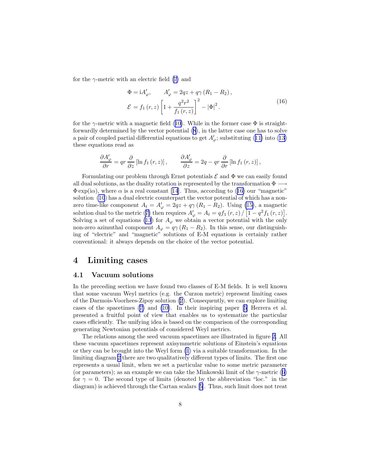<span id="page-7-0"></span>for the  $\gamma$ -metric with an electric field [\(7](#page-3-0)) and

$$
\Phi = iA'_{\varphi}, \qquad A'_{\varphi} = 2qz + q\gamma (R_1 - R_2), \n\mathcal{E} = f_1(r, z) \left[ 1 + \frac{q^2r^2}{f_1(r, z)} \right]^2 - |\Phi|^2.
$$
\n(16)

for the  $\gamma$ -metric with a magnetic field ([10\)](#page-5-0). While in the former case  $\Phi$  is straightforwardly determined by the vector potential [\(8](#page-3-0)), in the latter case one has to solve a pair of coupled partial differential equations to get  $A'_{\varphi}$ ; substituting ([11\)](#page-5-0) into ([13\)](#page-6-0) these equations read as

$$
\frac{\partial A'_{\varphi}}{\partial r} = qr \frac{\partial}{\partial z} [\ln f_1(r, z)], \qquad \frac{\partial A'_{\varphi}}{\partial z} = 2q - qr \frac{\partial}{\partial r} [\ln f_1(r, z)],
$$

Formulating our problem through Ernst potentials  $\mathcal E$  and  $\Phi$  we can easily found all dual solutions, as the duality rotation is represented by the transformation  $\Phi$  - $\Phi$  exp(i $\alpha$ ), where  $\alpha$  is a real constant [\[14](#page-20-0)]. Thus, according to (16) our "magnetic" solution [\(10](#page-5-0)) has a dual electric counterpart the vector potential of which has a nonzero time-like component  $A_t = A'_\varphi = 2qz + q\gamma (R_1 - R_2)$ . Using [\(15\)](#page-6-0), a magnetic solution dual to the metric ([7\)](#page-3-0) then requires  $A'_{\varphi} = A_t = qf_1(r, z) / [1 - q^2 f_1(r, z)].$ Solving a set of equations [\(13](#page-6-0)) for  $A_{\varphi}$  we obtain a vector potential with the only non-zero azimuthal component  $A_{\varphi} = q\gamma (R_1 - R_2)$ . In this sense, our distinguishing of "electric" and "magnetic" solutions of E-M equations is certainly rather conventional: it always depends on the choice of the vector potential.

# 4 Limiting cases

#### 4.1 Vacuum solutions

In the preceding section we have found two classes of E-M fields. It is well known that some vacuum Weyl metrics (e.g. the Curzon metric) represent limiting cases of the Darmois-Voorhees-Zipoy solution [\(2](#page-1-0)). Consequently, we can explore limiting cases of the spacetimes ([7\)](#page-3-0) and [\(10\)](#page-5-0). In their inspiring paper[[5\]](#page-19-0) Herrera et al. presented a fruitful point of view that enables us to systematize the particular cases efficiently. The unifying idea is based on the comparison of the corresponding generating Newtonian potentials of considered Weyl metrics.

The relations among the seed vacuum spacetimes are illustrated in figure [2.](#page-8-0) All these vacuum spacetimes represent axisymmetric solutions of Einstein's equations or they can be brought into the Weyl form [\(1](#page-1-0)) via a suitable transformation. In the limiting diagram [2](#page-8-0) there are two qualitatively different types of limits. The first one represents a usual limit, when we set a particular value to some metric parameter (or parameters); as an example we can take the Minkowski limit of the  $\gamma$ -metric ([6\)](#page-3-0) for  $\gamma = 0$ . The second type of limits (denoted by the abbreviation "loc." in the diagram) is achieved through the Cartan scalars[[5\]](#page-19-0). Thus, such limit does not treat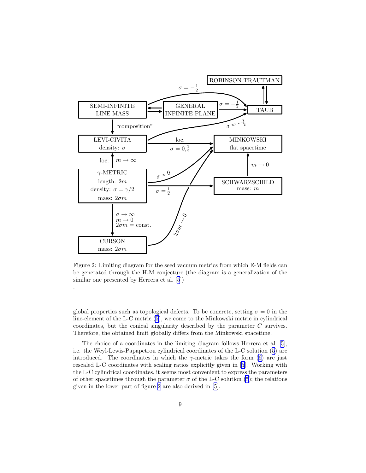<span id="page-8-0"></span>

Figure 2: Limiting diagram for the seed vacuum metrics from which E-M fields can be generated through the H-M conjecture (the diagram is a generalization of the similar one presented by Herrera et al. [\[5](#page-19-0)])

.

global properties such as topological defects. To be concrete, setting  $\sigma = 0$  in the line-element of the L-C metric [\(5](#page-2-0)), we come to the Minkowski metric in cylindrical coordinates, but the conical singularity described by the parameter C survives. Therefore, the obtained limit globally differs from the Minkowski spacetime.

The choice of a coordinates in the limiting diagram follows Herrera et al. [\[5](#page-19-0)], i.e. the Weyl-Lewis-Papapetrou cylindrical coordinates of the L-C solution [\(5](#page-2-0)) are introduced. The coordinates in which the  $\gamma$ -metric takes the form ([6\)](#page-3-0) are just rescaled L-C coordinates with scaling ratios explicitly given in [\[5](#page-19-0)]. Working with the L-C cylindrical coordinates, it seems most convenient to express the parameters of other spacetimes through the parameter  $\sigma$  of the L-C solution [\(5](#page-2-0)); the relations given in the lower part of figure 2 are also derived in [\[5](#page-19-0)].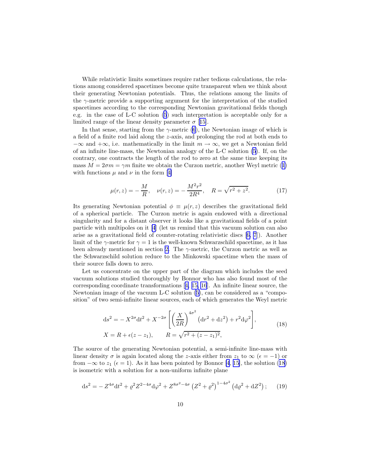<span id="page-9-0"></span>While relativistic limits sometimes require rather tedious calculations, the relations among considered spacetimes become quite transparent when we think about their generating Newtonian potentials. Thus, the relations among the limits of the  $\gamma$ -metric provide a supporting argument for the interpretation of the studied spacetimes according to the corresponding Newtonian gravitational fields though e.g. in the case of L-C solution [\(5](#page-2-0)) such interpretation is acceptable only for a limited range of the linear density parameter  $\sigma$  [[15\]](#page-20-0).

In that sense, starting from the  $\gamma$ -metric [\(6](#page-3-0)), the Newtonian image of which is a field of a finite rod laid along the z-axis, and prolonging the rod at both ends to  $-\infty$  and  $+\infty$ , i.e. mathematically in the limit  $m \to \infty$ , we get a Newtonian field of an infinite line-mass, the Newtonian analogy of the L-C solution [\(5](#page-2-0)). If, on the contrary, one contracts the length of the rod to zero at the same time keeping its mass  $M = 2\sigma m = \gamma m$  finite we obtain the Curzon metric, another Weyl metric ([1\)](#page-1-0) withfunctions  $\mu$  and  $\nu$  in the form [[4\]](#page-19-0)

$$
\mu(r,z) = -\frac{M}{R}, \quad \nu(r,z) = -\frac{M^2r^2}{2R^4}, \quad R = \sqrt{r^2 + z^2}.
$$
 (17)

Its generating Newtonian potential  $\phi \equiv \mu(r, z)$  describes the gravitational field of a spherical particle. The Curzon metric is again endowed with a directional singularity and for a distant observer it looks like a gravitational fields of a point particle with multipoles on it [\[4](#page-19-0)] (let us remind that this vacuum solution can also arise as a gravitational field of counter-rotating relativistic discs[[6, 7](#page-19-0)]). Another limit of the  $\gamma$ -metric for  $\gamma = 1$  is the well-known Schwarzschild spacetime, as it has been already mentioned in section [2.](#page-1-0) The  $\gamma$ -metric, the Curzon metric as well as the Schwarzschild solution reduce to the Minkowski spacetime when the mass of their source falls down to zero.

Let us concentrate on the upper part of the diagram which includes the seed vacuum solutions studied thoroughly by Bonnor who has also found most of the corresponding coordinate transformations[[4,](#page-19-0) [15, 16](#page-20-0)]. An infinite linear source, the Newtonian image of the vacuum L-C solution ([5\)](#page-2-0), can be considered as a "composition" of two semi-infinite linear sources, each of which generates the Weyl metric

$$
ds^{2} = -X^{2\sigma}dt^{2} + X^{-2\sigma} \left[ \left( \frac{X}{2R} \right)^{4\sigma^{2}} (dr^{2} + dz^{2}) + r^{2} d\varphi^{2} \right],
$$
  
\n
$$
X = R + \epsilon(z - z_{1}), \qquad R = \sqrt{r^{2} + (z - z_{1})^{2}},
$$
\n(18)

The source of the generating Newtonian potential, a semi-infinite line-mass with linear density  $\sigma$  is again located along the z-axis either from  $z_1$  to  $\infty$  ( $\epsilon = -1$ ) or from  $-\infty$  to  $z_1$  ( $\epsilon = 1$ ). As it has been pointed by Bonnor [\[4](#page-19-0), [15\]](#page-20-0), the solution (18) is isometric with a solution for a non-uniform infinite plane

$$
ds^{2} = -Z^{4\sigma}dt^{2} + \varrho^{2}Z^{2-4\sigma}d\varphi^{2} + Z^{8\sigma^{2}-4\sigma} (Z^{2} + \varrho^{2})^{1-4\sigma^{2}} (d\varrho^{2} + dZ^{2});
$$
 (19)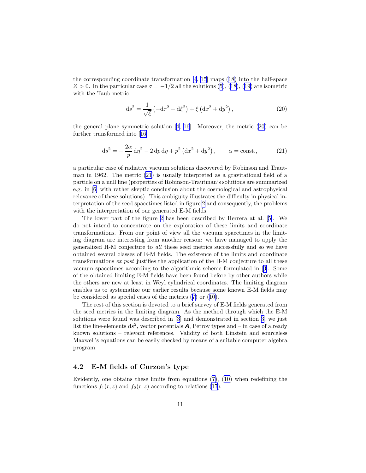the corresponding coordinate transformation [\[4](#page-19-0), [15\]](#page-20-0) maps [\(18](#page-9-0)) into the half-space  $Z > 0$ . In the particular case  $\sigma = -1/2$  all the solutions ([5\)](#page-2-0), ([18\)](#page-9-0), [\(19](#page-9-0)) are isometric with the Taub metric

$$
ds^{2} = \frac{1}{\sqrt{\xi}} \left( -d\tau^{2} + d\xi^{2} \right) + \xi \left( dx^{2} + dy^{2} \right),
$$
 (20)

thegeneral plane symmetric solution  $[4, 16]$  $[4, 16]$  $[4, 16]$  $[4, 16]$  $[4, 16]$ . Moreover, the metric  $(20)$  can be further transformed into[[16\]](#page-20-0)

$$
ds^{2} = -\frac{2\alpha}{p} d\eta^{2} - 2 dp d\eta + p^{2} (dx^{2} + dy^{2}), \qquad \alpha = \text{const.}, \qquad (21)
$$

a particular case of radiative vacuum solutions discovered by Robinson and Trautman in 1962. The metric (21) is usually interpreted as a gravitational field of a particle on a null line (properties of Robinson-Trautman's solutions are summarized e.g. in [\[6](#page-19-0)] with rather skeptic conclusion about the cosmological and astrophysical relevance of these solutions). This ambiguity illustrates the difficulty in physical interpretation of the seed spacetimes listed in figure [2](#page-8-0) and consequently, the problems with the interpretation of our generated E-M fields.

The lower part of the figure [2](#page-8-0) has been described by Herrera at al.[[5\]](#page-19-0). We do not intend to concentrate on the exploration of these limits and coordinate transformations. From our point of view all the vacuum spacetimes in the limiting diagram are interesting from another reason: we have managed to apply the generalized H-M conjecture to all these seed metrics successfully and so we have obtained several classes of E-M fields. The existence of the limits and coordinate transformations ex post justifies the application of the H-M conjecture to all these vacuum spacetimes according to the algorithmic scheme formulated in[[3\]](#page-19-0). Some of the obtained limiting E-M fields have been found before by other authors while the others are new at least in Weyl cylindrical coordinates. The limiting diagram enables us to systematize our earlier results because some known E-M fields may be considered as special cases of the metrics ([7\)](#page-3-0) or [\(10](#page-5-0)).

The rest of this section is devoted to a brief survey of E-M fields generated from the seed metrics in the limiting diagram. As the method through which the E-M solutions were found was described in [\[3](#page-19-0)] and demonstrated in section [3](#page-3-0), we just list the line-elements  $ds^2$ , vector potentials **A**, Petrov types and – in case of already known solutions – relevant references. Validity of both Einstein and sourceless Maxwell's equations can be easily checked by means of a suitable computer algebra program.

#### 4.2 E-M fields of Curzon's type

Evidently, one obtains these limits from equations ([7\)](#page-3-0), ([10\)](#page-5-0) when redefining the functions  $f_1(r, z)$  and  $f_2(r, z)$  according to relations [\(17](#page-9-0)).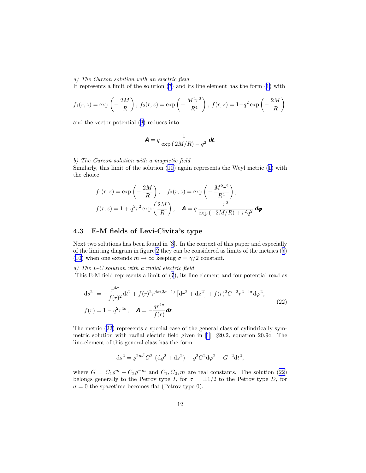<span id="page-11-0"></span>a) The Curzon solution with an electric field

It represents a limit of the solution [\(7](#page-3-0)) and its line element has the form ([1\)](#page-1-0) with

$$
f_1(r, z) = \exp\left(-\frac{2M}{R}\right), f_2(r, z) = \exp\left(-\frac{M^2r^2}{R^4}\right), f(r, z) = 1 - q^2 \exp\left(-\frac{2M}{R}\right).
$$

and the vector potential ([8\)](#page-3-0) reduces into

$$
\mathbf{A}=q\,\frac{1}{\exp\left(\,2M/R\right)-q^2}\,\mathbf{dt}.
$$

b) The Curzon solution with a magnetic field

Similarly, this limit of the solution ([10\)](#page-5-0) again represents the Weyl metric ([1\)](#page-1-0) with the choice

$$
f_1(r, z) = \exp\left(-\frac{2M}{R}\right), \quad f_2(r, z) = \exp\left(-\frac{M^2r^2}{R^4}\right),
$$

$$
f(r, z) = 1 + q^2r^2\exp\left(\frac{2M}{R}\right), \quad \mathbf{A} = q\frac{r^2}{\exp\left(-2M/R\right) + r^2q^2}\mathbf{d}\mathbf{\varphi}.
$$

### 4.3 E-M fields of Levi-Civita's type

Next two solutions has been found in[[3](#page-19-0)]. In the context of this paper and especially of the limiting diagram in figure [2](#page-8-0) they can be considered as limits of the metrics ([7\)](#page-3-0) [\(10](#page-5-0)) when one extends  $m \to \infty$  keeping  $\sigma = \gamma/2$  constant.

a) The L-C solution with a radial electric field

This E-M field represents a limit of [\(7](#page-3-0)), its line element and fourpotential read as

$$
ds^{2} = -\frac{r^{4\sigma}}{f(r)^{2}}dt^{2} + f(r)^{2}r^{4\sigma(2\sigma-1)} \left[ dr^{2} + dz^{2} \right] + f(r)^{2}C^{-2}r^{2-4\sigma}d\varphi^{2},
$$
  
\n
$$
f(r) = 1 - q^{2}r^{4\sigma}, \quad \mathbf{A} = -\frac{qr^{4\sigma}}{f(r)}dt.
$$
\n(22)

The metric (22) represents a special case of the general class of cylindrically symmetricsolution with radial electric field given in  $[1]$  $[1]$ ,  $\S 20.2$ , equation 20.9c. The line-element of this general class has the form

$$
ds^{2} = \rho^{2m^{2}} G^{2} (d\rho^{2} + dz^{2}) + \rho^{2} G^{2} d\varphi^{2} - G^{-2} dt^{2},
$$

where  $G = C_1 \rho^m + C_2 \rho^{-m}$  and  $C_1, C_2, m$  are real constants. The solution (22) belongs generally to the Petrov type I, for  $\sigma = \pm 1/2$  to the Petrov type D, for  $\sigma = 0$  the spacetime becomes flat (Petrov type 0).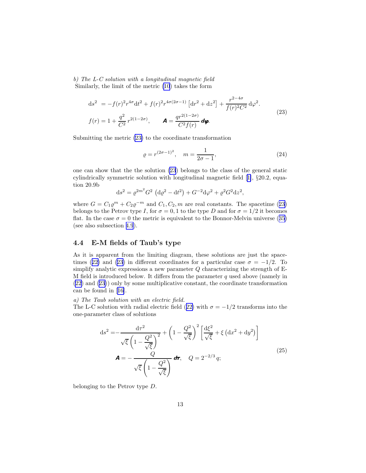<span id="page-12-0"></span>b) The L-C solution with a longitudinal magnetic field Similarly, the limit of the metric [\(10](#page-5-0)) takes the form

$$
ds^{2} = -f(r)^{2}r^{4\sigma}dt^{2} + f(r)^{2}r^{4\sigma(2\sigma-1)}\left[dr^{2} + dz^{2}\right] + \frac{r^{2-4\sigma}}{f(r)^{2}C^{2}}d\varphi^{2}.
$$
  

$$
f(r) = 1 + \frac{q^{2}}{C^{2}}r^{2(1-2\sigma)}, \qquad \mathbf{A} = \frac{qr^{2(1-2\sigma)}}{C^{2}f(r)}d\varphi.
$$
 (23)

Submitting the metric (23) to the coordinate transformation

$$
\varrho = r^{(2\sigma - 1)^2}, \quad m = \frac{1}{2\sigma - 1},\tag{24}
$$

one can show that the the solution (23) belongs to the class of the general static cylindrically symmetric solution with longitudinal magnetic field[[1\]](#page-19-0), §20.2, equation 20.9b

$$
ds^{2} = \rho^{2m^{2}} G^{2} (d\rho^{2} - dt^{2}) + G^{-2} d\varphi^{2} + \rho^{2} G^{2} dz^{2},
$$

where  $G = C_1 \varrho^m + C_2 \varrho^{-m}$  and  $C_1, C_2, m$  are real constants. The spacetime (23) belongs to the Petrov type I, for  $\sigma = 0, 1$  to the type D and for  $\sigma = 1/2$  it becomes flat. In the case  $\sigma = 0$  the metric is equivalent to the Bonnor-Melvin universe ([35\)](#page-16-0) (see also subsection [4.9](#page-16-0)).

### 4.4 E-M fields of Taub's type

As it is apparent from the limiting diagram, these solutions are just the space-times ([22\)](#page-11-0) and (23) in different coordinates for a particular case  $\sigma = -1/2$ . To simplify analytic expressions a new parameter  $Q$  characterizing the strength of E-M field is introduced below. It differs from the parameter  $q$  used above (namely in [\(22](#page-11-0)) and (23)) only by some multiplicative constant, the coordinate transformation can be found in[[16\]](#page-20-0).

a) The Taub solution with an electric field.

The L-C solution with radial electric field ([22\)](#page-11-0) with  $\sigma = -1/2$  transforms into the one-parameter class of solutions

$$
ds^{2} = -\frac{d\tau^{2}}{\sqrt{\xi} \left(1 - \frac{Q^{2}}{\sqrt{\xi}}\right)^{2}} + \left(1 - \frac{Q^{2}}{\sqrt{\xi}}\right)^{2} \left[\frac{d\xi^{2}}{\sqrt{\xi}} + \xi \left(dx^{2} + dy^{2}\right)\right]
$$
  

$$
\mathbf{A} = -\frac{Q}{\sqrt{\xi} \left(1 - \frac{Q^{2}}{\sqrt{\xi}}\right)} d\tau, \quad Q = 2^{-2/3} q;
$$
\n(25)

belonging to the Petrov type D.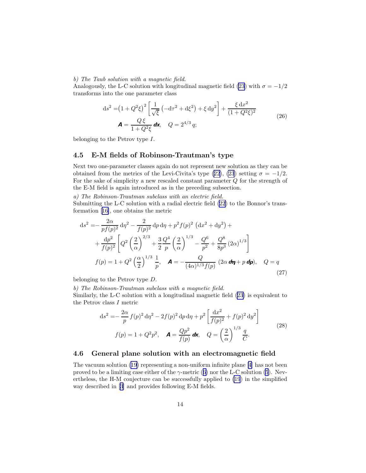#### <span id="page-13-0"></span>b) The Taub solution with a magnetic field.

Analogously, the L-C solution with longitudinal magnetic field [\(23](#page-12-0)) with  $\sigma = -1/2$ transforms into the one parameter class

$$
ds^{2} = (1 + Q^{2}\xi)^{2} \left[ \frac{1}{\sqrt{\xi}} \left( -d\tau^{2} + d\xi^{2} \right) + \xi \, dy^{2} \right] + \frac{\xi \, dx^{2}}{(1 + Q^{2}\xi)^{2}}
$$
\n
$$
\mathbf{A} = \frac{Q \, \xi}{1 + Q^{2}\xi} \, \mathbf{dx}, \quad Q = 2^{4/3} \, q; \tag{26}
$$

belonging to the Petrov type I.

### 4.5 E-M fields of Robinson-Trautman's type

Next two one-parameter classes again do not represent new solution as they can be obtained from the metrics of the Levi-Civita's type [\(22](#page-11-0)), [\(23](#page-12-0)) setting  $\sigma = -1/2$ . For the sake of simplicity a new rescaled constant parameter  $Q$  for the strength of the E-M field is again introduced as in the preceding subsection.

a) The Robinson-Trautman subclass with an electric field.

Submitting the L-C solution with a radial electric field [\(22](#page-11-0)) to the Bonnor's transformation[[16\]](#page-20-0), one obtains the metric

$$
ds^{2} = -\frac{2\alpha}{pf(p)^{2}} d\eta^{2} - \frac{2}{f(p)^{2}} dp d\eta + p^{2} f(p)^{2} (dx^{2} + dy^{2}) +
$$
  
+ 
$$
\frac{dp^{2}}{f(p)^{2}} \left[ Q^{2} \left( \frac{2}{\alpha} \right)^{2/3} + \frac{3}{2} \frac{Q^{4}}{p} \left( \frac{2}{\alpha} \right)^{1/3} - \frac{Q^{6}}{p^{2}} + \frac{Q^{8}}{8p^{3}} (2\alpha)^{1/3} \right]
$$
  

$$
f(p) = 1 + Q^{2} \left( \frac{\alpha}{2} \right)^{1/3} \frac{1}{p}, \quad \mathbf{A} = -\frac{Q}{(4\alpha)^{1/3} f(p)} (2\alpha d\eta + p d\mathbf{p}), \quad Q = q
$$
(27)

belonging to the Petrov type D.

b) The Robinson-Trautman subclass with a magnetic field.

Similarly, the L-C solution with a longitudinal magnetic field [\(23](#page-12-0)) is equivalent to the Petrov class I metric

$$
ds^{2} = -\frac{2\alpha}{p} f(p)^{2} d\eta^{2} - 2f(p)^{2} dp d\eta + p^{2} \left[ \frac{dx^{2}}{f(p)^{2}} + f(p)^{2} dy^{2} \right]
$$
  

$$
f(p) = 1 + Q^{2} p^{2}, \quad \mathbf{A} = \frac{Qp^{2}}{f(p)} d\mathbf{x}, \quad Q = \left(\frac{2}{\alpha}\right)^{1/3} \frac{q}{C}.
$$
 (28)

#### 4.6 General plane solution with an electromagnetic field

The vacuum solution [\(19](#page-9-0)) representing a non-uniform infinite plane [\[4](#page-19-0)] has not been proved to be a limiting case either of the  $\gamma$ -metric ([6\)](#page-3-0) nor the L-C solution [\(5](#page-2-0)). Nevertheless, the H-M conjecture can be successfully applied to [\(19](#page-9-0)) in the simplified way described in [\[3](#page-19-0)] and provides following E-M fields.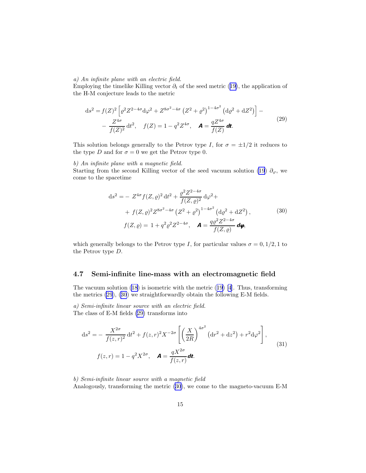#### a) An infinite plane with an electric field.

Employing the timelike Killing vector  $\partial_t$  of the seed metric ([19\)](#page-9-0), the application of the H-M conjecture leads to the metric

$$
ds^{2} = f(Z)^{2} \left[ \varrho^{2} Z^{2-4\sigma} d\varphi^{2} + Z^{8\sigma^{2}-4\sigma} \left( Z^{2} + \varrho^{2} \right)^{1-4\sigma^{2}} \left( d\varrho^{2} + dZ^{2} \right) \right] -
$$
  
 
$$
- \frac{Z^{4\sigma}}{f(Z)^{2}} dt^{2}, \quad f(Z) = 1 - q^{2} Z^{4\sigma}, \quad \mathbf{A} = \frac{q Z^{4\sigma}}{f(Z)} dt.
$$
 (29)

This solution belongs generally to the Petrov type I, for  $\sigma = \pm 1/2$  it reduces to the type D and for  $\sigma = 0$  we get the Petrov type 0.

#### b) An infinite plane with a magnetic field.

Starting from the second Killing vector of the seed vacuum solution [\(19](#page-9-0))  $\partial_{\varphi}$ , we come to the spacetime

$$
ds^{2} = - Z^{4\sigma} f(Z, \rho)^{2} dt^{2} + \frac{\rho^{2} Z^{2-4\sigma}}{f(Z, \rho)^{2}} d\varphi^{2} +
$$
  
+  $f(Z, \rho)^{2} Z^{8\sigma^{2}-4\sigma} (Z^{2} + \rho^{2})^{1-4\sigma^{2}} (d\rho^{2} + dZ^{2}),$  (30)  
 $f(Z, \rho) = 1 + q^{2} \rho^{2} Z^{2-4\sigma}, \quad \mathbf{A} = \frac{q \rho^{2} Z^{2-4\sigma}}{f(Z, \rho)} d\mathbf{\varphi},$ 

which generally belongs to the Petrov type I, for particular values  $\sigma = 0, 1/2, 1$  to the Petrov type D.

#### 4.7 Semi-infinite line-mass with an electromagnetic field

The vacuum solution [\(18](#page-9-0)) is isometric with the metric ([19\)](#page-9-0) [\[4](#page-19-0)]. Thus, transforming the metrics (29), (30) we straightforwardly obtain the following E-M fields.

a) Semi-infinite linear source with an electric field. The class of E-M fields (29) transforms into

$$
ds^{2} = -\frac{X^{2\sigma}}{f(z,r)^{2}} dt^{2} + f(z,r)^{2} X^{-2\sigma} \left[ \left( \frac{X}{2R} \right)^{4\sigma^{2}} (dr^{2} + dz^{2}) + r^{2} d\varphi^{2} \right],
$$
  

$$
f(z,r) = 1 - q^{2} X^{2\sigma}, \quad \mathbf{A} = \frac{qX^{2\sigma}}{f(z,r)} d\mathbf{t}.
$$
 (31)

b) Semi-infinite linear source with a magnetic field Analogously, transforming the metric (30), we come to the magneto-vacuum E-M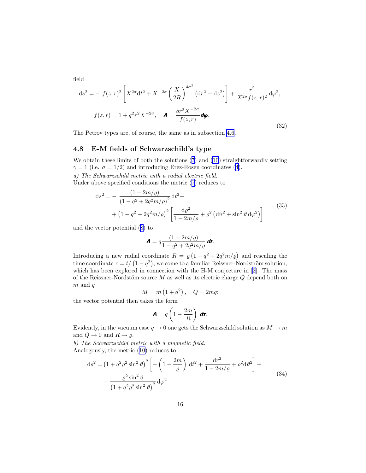<span id="page-15-0"></span>field

$$
ds^{2} = - f(z,r)^{2} \left[ X^{2\sigma} dt^{2} + X^{-2\sigma} \left( \frac{X}{2R} \right)^{4\sigma^{2}} (dr^{2} + dz^{2}) \right] + \frac{r^{2}}{X^{2\sigma} f(z,r)^{2}} d\varphi^{2},
$$
  

$$
f(z,r) = 1 + q^{2} r^{2} X^{-2\sigma}, \quad \mathbf{A} = \frac{qr^{2} X^{-2\sigma}}{f(z,r)} d\varphi.
$$
 (32)

The Petrov types are, of course, the same as in subsection [4.6](#page-13-0).

### 4.8 E-M fields of Schwarzschild's type

We obtain these limits of both the solutions ([7\)](#page-3-0) and ([10](#page-5-0)) straightforwardly setting  $\gamma = 1$  (i.e.  $\sigma = 1/2$ ) and introducing Erez-Rosen coordinates [\(4](#page-2-0)). a) The Schwarzschild metric with a radial electric field. Under above specified conditions the metric ([7\)](#page-3-0) reduces to

$$
ds^{2} = -\frac{(1 - 2m/\rho)}{(1 - q^{2} + 2q^{2}m/\rho)^{2}} dt^{2} + (1 - q^{2} + 2q^{2}m/\rho)^{2} \left[ \frac{d\rho^{2}}{1 - 2m/\rho} + \rho^{2} (d\vartheta^{2} + \sin^{2}\vartheta d\varphi^{2}) \right]
$$
\n(33)

and the vector potential ([8\)](#page-3-0) to

$$
\mathbf{A}=q\frac{(1-2m/\varrho)}{1-q^2+2q^2m/\varrho}\,\mathbf{dt}.
$$

Introducing a new radial coordinate  $R = \varrho \left( 1 - q^2 + 2q^2 m / \varrho \right)$  and rescaling the time coordinate  $\tau = t/(1 - q^2)$ , we come to a familiar Reissner-Nordström solution, whichhas been explored in connection with the H-M conjecture in [[2\]](#page-19-0). The mass of the Reissner-Nordstöm source  $M$  as well as its electric charge  $Q$  depend both on  $m$  and  $q$ 

$$
M = m\left(1 + q^2\right), \quad Q = 2mq;
$$

the vector potential then takes the form

$$
\mathbf{A}=q\left(1-\frac{2m}{R}\right)\,\mathbf{d}\boldsymbol{\tau}.
$$

Evidently, in the vacuum case  $q \to 0$  one gets the Schwarzschild solution as  $M \to m$ and  $Q \to 0$  and  $R \to \varrho$ .

b) The Schwarzschild metric with a magnetic field. Analogously, the metric ([10](#page-5-0)) reduces to

$$
ds^{2} = \left(1 + q^{2}\rho^{2}\sin^{2}\theta\right)^{2} \left[-\left(1 - \frac{2m}{\rho}\right) dt^{2} + \frac{dr^{2}}{1 - 2m/\rho} + \rho^{2}d\theta^{2}\right] + \frac{\rho^{2}\sin^{2}\theta}{\left(1 + q^{2}\rho^{2}\sin^{2}\theta\right)^{2}} d\varphi^{2}
$$
\n(34)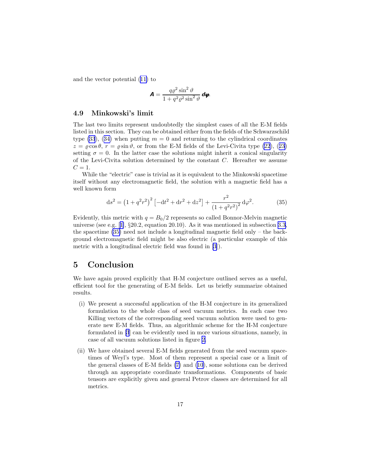<span id="page-16-0"></span>and the vector potential ([11\)](#page-5-0) to

$$
\mathbf{A} = \frac{q\varrho^2 \sin^2 \vartheta}{1 + q^2 \varrho^2 \sin^2 \vartheta} \mathbf{d}\mathbf{\varphi}.
$$

#### 4.9 Minkowski's limit

The last two limits represent undoubtedly the simplest cases of all the E-M fields listed in this section. They can be obtained either from the fields of the Schwarzschild type [\(33](#page-15-0)), ([34\)](#page-15-0) when putting  $m = 0$  and returning to the cylindrical coordinates  $z = \rho \cos \theta$ ,  $r = \rho \sin \theta$ , or from the E-M fields of the Levi-Civita type [\(22](#page-11-0)), ([23\)](#page-12-0) setting  $\sigma = 0$ . In the latter case the solutions might inherit a conical singularity of the Levi-Civita solution determined by the constant C. Hereafter we assume  $C=1$ .

While the "electric" case is trivial as it is equivalent to the Minkowski spacetime itself without any electromagnetic field, the solution with a magnetic field has a well known form

$$
ds^{2} = (1 + q^{2}r^{2})^{2} \left[ -dt^{2} + dr^{2} + dz^{2} \right] + \frac{r^{2}}{(1 + q^{2}r^{2})^{2}} d\varphi^{2}.
$$
 (35)

Evidently, this metric with  $q = B_0/2$  represents so called Bonnor-Melvin magnetic universe(see e.g. [[1\]](#page-19-0),  $\S 20.2$ , equation 20.10). As it was mentioned in subsection [3.3,](#page-6-0) the spacetime (35) need not include a longitudinal magnetic field only – the background electromagnetic field might be also electric (a particular example of this metric with a longitudinal electric field was found in [\[3](#page-19-0)]).

# 5 Conclusion

We have again proved explicitly that H-M conjecture outlined serves as a useful, efficient tool for the generating of E-M fields. Let us briefly summarize obtained results.

- (i) We present a successful application of the H-M conjecture in its generalized formulation to the whole class of seed vacuum metrics. In each case two Killing vectors of the corresponding seed vacuum solution were used to generate new E-M fields. Thus, an algorithmic scheme for the H-M conjecture formulated in [\[3](#page-19-0)] can be evidently used in more various situations, namely, in case of all vacuum solutions listed in figure [2.](#page-8-0)
- (ii) We have obtained several E-M fields generated from the seed vacuum spacetimes of Weyl's type. Most of them represent a special case or a limit of the general classes of E-M fields [\(7\)](#page-3-0) and [\(10](#page-5-0)), some solutions can be derived through an appropriate coordinate transformations. Components of basic tensors are explicitly given and general Petrov classes are determined for all metrics.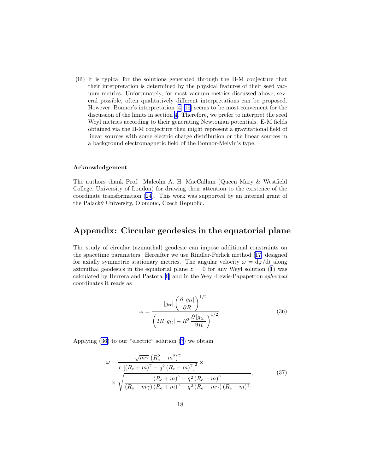<span id="page-17-0"></span>(iii) It is typical for the solutions generated through the H-M conjecture that their interpretation is determined by the physical features of their seed vacuum metrics. Unfortunately, for most vacuum metrics discussed above, several possible, often qualitatively different interpretations can be proposed. However, Bonnor's interpretation[[4](#page-19-0), [15\]](#page-20-0) seems to be most convenient for the discussion of the limits in section [4.](#page-7-0) Therefore, we prefer to interpret the seed Weyl metrics according to their generating Newtonian potentials. E-M fields obtained via the H-M conjecture then might represent a gravitational field of linear sources with some electric charge distribution or the linear sources in a background electromagnetic field of the Bonnor-Melvin's type.

#### Acknowledgement

The authors thank Prof. Malcolm A. H. MacCallum (Queen Mary & Westfield College, University of London) for drawing their attention to the existence of the coordinate transformation ([24\)](#page-12-0). This work was supported by an internal grant of the Palack´y University, Olomouc, Czech Republic.

# Appendix: Circular geodesics in the equatorial plane

The study of circular (azimuthal) geodesic can impose additional constraints on the spacetime parameters. Hereafter we use Rindler-Perlick method [\[17](#page-20-0)] designed for axially symmetric stationary metrics. The angular velocity  $\omega = d\varphi/dt$  along azimuthal geodesics in the equatorial plane  $z = 0$  for any Weyl solution ([1\)](#page-1-0) was calculated by Herrera and Pastora [\[9](#page-19-0)] and in the Weyl-Lewis-Papapetrou spherical coordinates it reads as

$$
\omega = \frac{|g_{tt}| \left(\frac{\partial |g_{tt}|}{\partial R}\right)^{1/2}}{\left(2R|g_{tt}| - R^2 \frac{\partial |g_{tt}|}{\partial R}\right)^{1/2}}.
$$
\n(36)

Applying (36) to our "electric" solution [\(7](#page-3-0)) we obtain

$$
\omega = \frac{\sqrt{m\gamma} \left( R_{\rm e}^2 - m^2 \right)^{\gamma}}{r \left[ (R_{\rm e} + m)^{\gamma} - q^2 \left( R_{\rm e} - m \right)^{\gamma} \right]^2} \times \sqrt{\frac{\left( R_{\rm e} + m \right)^{\gamma} + q^2 \left( R_{\rm e} - m \right)^{\gamma}}{\left( R_{\rm e} - m\gamma \right) \left( R_{\rm e} + m \right)^{\gamma} - q^2 \left( R_{\rm e} + m\gamma \right) \left( R_{\rm e} - m \right)^{\gamma}}},\tag{37}
$$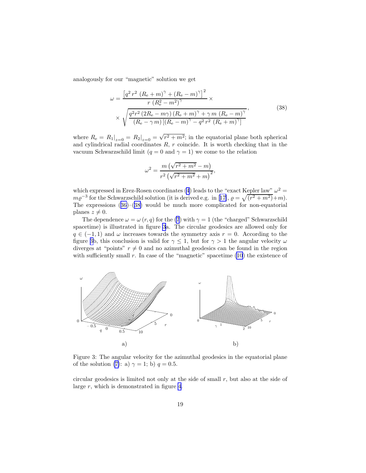analogously for our "magnetic" solution we get

$$
\omega = \frac{\left[q^2 \, r^2 \, (R_e + m)^\gamma + (R_e - m)^\gamma\right]^2}{r \, (R_e^2 - m^2)^\gamma} \times \frac{r \, (R_e^2 - m^\gamma)^\gamma}{(R_e - m^\gamma) \, (R_e + m)^\gamma + \gamma \, m \, (R_e - m)^\gamma},\tag{38}
$$

where  $R_e = R_1|_{z=0} = R_2|_{z=0} = \sqrt{r^2 + m^2}$ ; in the equatorial plane both spherical and cylindrical radial coordinates  $R, r$  coincide. It is worth checking that in the vacuum Schwarzschild limit ( $q = 0$  and  $\gamma = 1$ ) we come to the relation

$$
\omega^{2} = \frac{m(\sqrt{r^{2} + m^{2}} - m)}{r^{2}(\sqrt{r^{2} + m^{2}} + m)^{2}},
$$

which expressed in Erez-Rosen coordinates [\(4](#page-2-0)) leads to the "exact Kepler law"  $\omega^2 =$  $m\varrho^{-3}$ for the Schwarzschild solution (it is derived e.g. in [[17\]](#page-20-0),  $\varrho = \sqrt{(r^2 + m^2)} + m$ ). The expressions  $(36)$  $(36)$ – $(38)$  would be much more complicated for non-equatorial planes  $z \neq 0$ .

The dependence  $\omega = \omega(r, q)$  for the [\(7](#page-3-0)) with  $\gamma = 1$  (the "charged" Schwarzschild spacetime) is illustrated in figure 3a. The circular geodesics are allowed only for  $q \in (-1,1)$  and  $\omega$  increases towards the symmetry axis  $r = 0$ . According to the figure 3b, this conclusion is valid for  $\gamma \leq 1$ , but for  $\gamma > 1$  the angular velocity  $\omega$ diverges at "points"  $r \neq 0$  and no azimuthal geodesics can be found in the region with sufficiently small  $r$ . In case of the "magnetic" spacetime  $(10)$  $(10)$  the existence of



Figure 3: The angular velocity for the azimuthal geodesics in the equatorial plane of the solution [\(7\)](#page-3-0): a)  $\gamma = 1$ ; b)  $q = 0.5$ .

circular geodesics is limited not only at the side of small r, but also at the side of large r, which is demonstrated in figure [4](#page-19-0).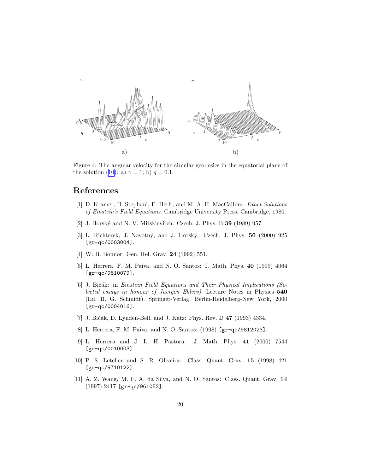<span id="page-19-0"></span>

Figure 4: The angular velocity for the circular geodesics in the equatorial plane of the solution [\(10](#page-5-0)): a)  $\gamma = 1$ ; b)  $q = 0.1$ .

# References

- [1] D. Kramer, H. Stephani, E. Herlt, and M. A. H. MacCallum: Exact Solutions of Einstein's Field Equations. Cambridge University Press, Cambridge, 1980.
- [2] J. Horský and N. V. Mitskievitch: Czech. J. Phys. B **39** (1989) 957.
- [3] L. Richterek, J. Novotný, and J. Horský: Czech. J. Phys. **50** (2000) 925 [gr-qc/0003004].
- [4] W. B. Bonnor: Gen. Rel. Grav. 24 (1992) 551.
- [5] L. Herrera, F. M. Paiva, and N. O. Santos: J. Math. Phys. 40 (1999) 4064 [gr-qc/9810079].
- [6] J. Bičák: in Einstein Field Equations and Their Physical Implications (Selected essays in honour of Juergen Ehlers), Lecture Notes in Physics 540 (Ed. B. G. Schmidt). Springer-Verlag, Berlin-Heidelberg-New York, 2000 [gr-qc/0004016].
- [7] J. Bičák, D. Lynden-Bell, and J. Katz: Phys. Rev. D 47 (1993) 4334.
- [8] L. Herrera, F. M. Paiva, and N. O. Santos: (1998) [gr-qc/9812023].
- [9] L. Herrera and J. L. H. Pastora: J. Math. Phys. 41 (2000) 7544 [gr-qc/0010003].
- [10] P. S. Letelier and S. R. Oliveira: Class. Quant. Grav. 15 (1998) 421 [gr-qc/9710122].
- [11] A. Z. Wang, M. F. A. da Silva, and N. O. Santos: Class. Quant. Grav. 14 (1997) 2417 [gr-qc/961052].